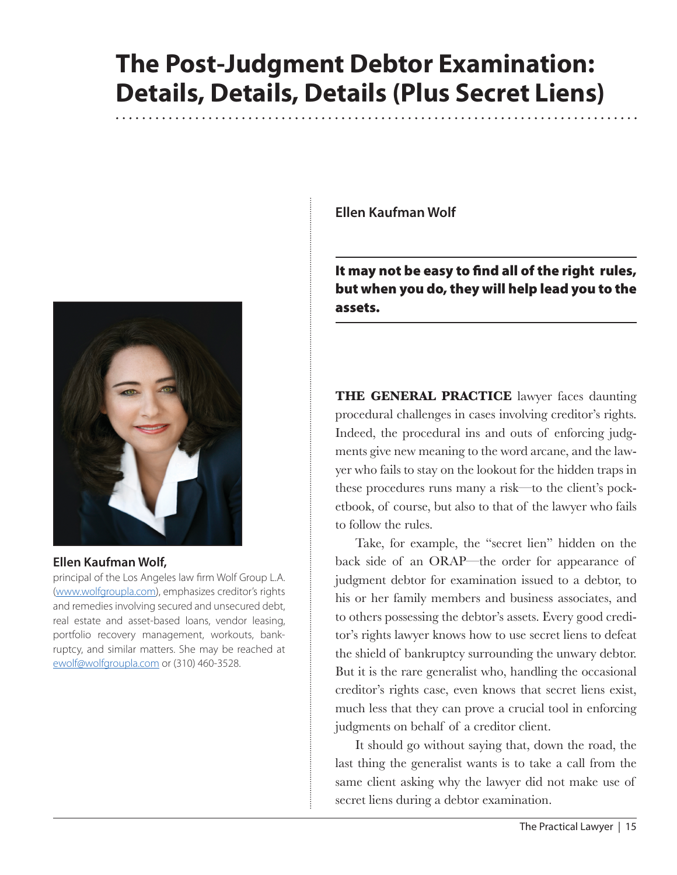# **The Post-Judgment Debtor Examination: Details, Details, Details (Plus Secret Liens)**



# **Ellen Kaufman Wolf,**

principal of the Los Angeles law firm Wolf Group L.A. ([www.wolfgroupla.com\)](http://www.wolfgroupla.com), emphasizes creditor's rights and remedies involving secured and unsecured debt, real estate and asset-based loans, vendor leasing, portfolio recovery management, workouts, bankruptcy, and similar matters. She may be reached at [ewolf@wolfgroupla.com](mailto:ewolf@wolfgroupla.com) or (310) 460-3528.

**Ellen Kaufman Wolf**

It may not be easy to find all of the right rules, but when you do, they will help lead you to the assets.

**THE GENERAL PRACTICE** lawyer faces daunting procedural challenges in cases involving creditor's rights. Indeed, the procedural ins and outs of enforcing judgments give new meaning to the word arcane, and the lawyer who fails to stay on the lookout for the hidden traps in these procedures runs many a risk—to the client's pocketbook, of course, but also to that of the lawyer who fails to follow the rules.

Take, for example, the "secret lien" hidden on the back side of an ORAP—the order for appearance of judgment debtor for examination issued to a debtor, to his or her family members and business associates, and to others possessing the debtor's assets. Every good creditor's rights lawyer knows how to use secret liens to defeat the shield of bankruptcy surrounding the unwary debtor. But it is the rare generalist who, handling the occasional creditor's rights case, even knows that secret liens exist, much less that they can prove a crucial tool in enforcing judgments on behalf of a creditor client.

It should go without saying that, down the road, the last thing the generalist wants is to take a call from the same client asking why the lawyer did not make use of secret liens during a debtor examination.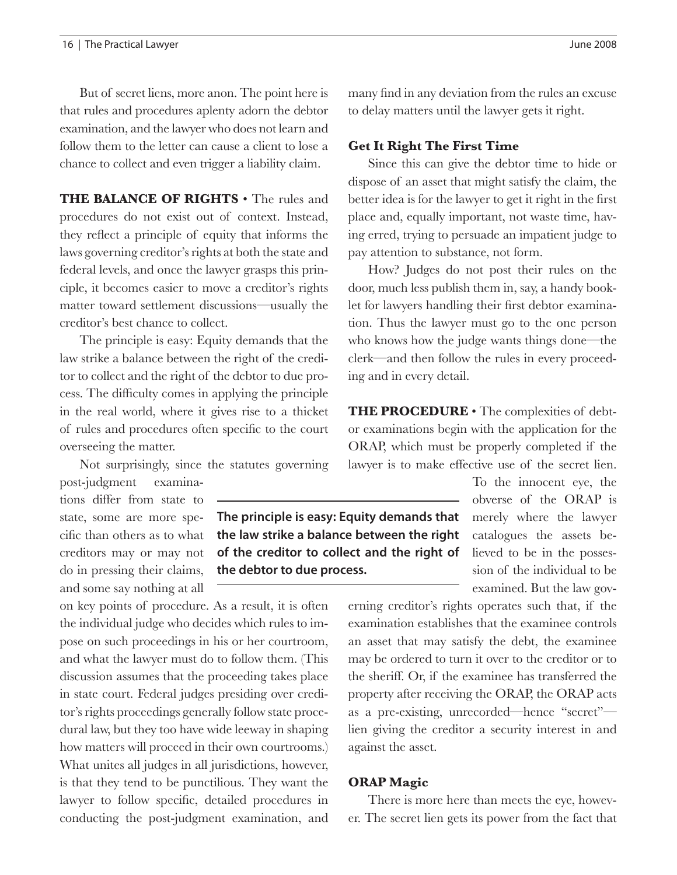But of secret liens, more anon. The point here is that rules and procedures aplenty adorn the debtor examination, and the lawyer who does not learn and follow them to the letter can cause a client to lose a chance to collect and even trigger a liability claim.

**THE BALANCE OF RIGHTS** • The rules and procedures do not exist out of context. Instead, they reflect a principle of equity that informs the laws governing creditor's rights at both the state and federal levels, and once the lawyer grasps this principle, it becomes easier to move a creditor's rights matter toward settlement discussions—usually the creditor's best chance to collect.

The principle is easy: Equity demands that the law strike a balance between the right of the creditor to collect and the right of the debtor to due process. The difficulty comes in applying the principle in the real world, where it gives rise to a thicket of rules and procedures often specific to the court overseeing the matter.

Not surprisingly, since the statutes governing

post-judgment examinations differ from state to state, some are more specific than others as to what creditors may or may not do in pressing their claims, and some say nothing at all

on key points of procedure. As a result, it is often the individual judge who decides which rules to impose on such proceedings in his or her courtroom, and what the lawyer must do to follow them. (This discussion assumes that the proceeding takes place in state court. Federal judges presiding over creditor's rights proceedings generally follow state procedural law, but they too have wide leeway in shaping how matters will proceed in their own courtrooms.) What unites all judges in all jurisdictions, however, is that they tend to be punctilious. They want the lawyer to follow specific, detailed procedures in conducting the post-judgment examination, and

many find in any deviation from the rules an excuse to delay matters until the lawyer gets it right.

#### **Get It Right The First Time**

Since this can give the debtor time to hide or dispose of an asset that might satisfy the claim, the better idea is for the lawyer to get it right in the first place and, equally important, not waste time, having erred, trying to persuade an impatient judge to pay attention to substance, not form.

How? Judges do not post their rules on the door, much less publish them in, say, a handy booklet for lawyers handling their first debtor examination. Thus the lawyer must go to the one person who knows how the judge wants things done—the clerk—and then follow the rules in every proceeding and in every detail.

**THE PROCEDURE** • The complexities of debtor examinations begin with the application for the ORAP, which must be properly completed if the lawyer is to make effective use of the secret lien.

> To the innocent eye, the obverse of the ORAP is merely where the lawyer catalogues the assets believed to be in the possession of the individual to be examined. But the law gov-

erning creditor's rights operates such that, if the examination establishes that the examinee controls an asset that may satisfy the debt, the examinee may be ordered to turn it over to the creditor or to the sheriff. Or, if the examinee has transferred the property after receiving the ORAP, the ORAP acts as a pre-existing, unrecorded—hence "secret" lien giving the creditor a security interest in and against the asset.

#### **ORAP Magic**

There is more here than meets the eye, however. The secret lien gets its power from the fact that

**The principle is easy: Equity demands that the law strike a balance between the right of the creditor to collect and the right of the debtor to due process.**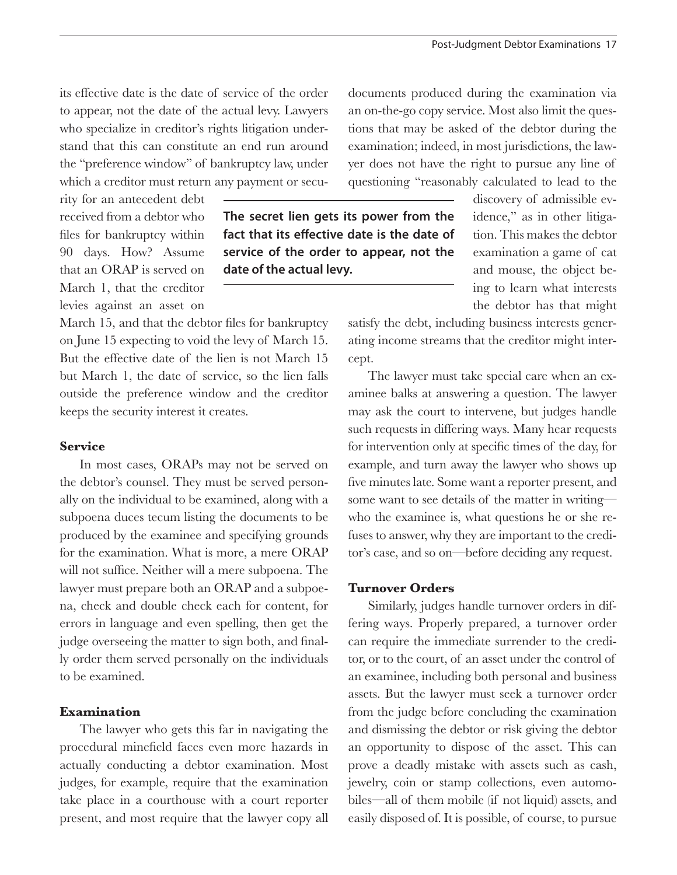its effective date is the date of service of the order to appear, not the date of the actual levy. Lawyers who specialize in creditor's rights litigation understand that this can constitute an end run around the "preference window" of bankruptcy law, under which a creditor must return any payment or secu-

rity for an antecedent debt received from a debtor who files for bankruptcy within 90 days. How? Assume that an ORAP is served on March 1, that the creditor levies against an asset on

March 15, and that the debtor files for bankruptcy on June 15 expecting to void the levy of March 15. But the effective date of the lien is not March 15 but March 1, the date of service, so the lien falls outside the preference window and the creditor keeps the security interest it creates.

## **Service**

In most cases, ORAPs may not be served on the debtor's counsel. They must be served personally on the individual to be examined, along with a subpoena duces tecum listing the documents to be produced by the examinee and specifying grounds for the examination. What is more, a mere ORAP will not suffice. Neither will a mere subpoena. The lawyer must prepare both an ORAP and a subpoena, check and double check each for content, for errors in language and even spelling, then get the judge overseeing the matter to sign both, and finally order them served personally on the individuals to be examined.

## **Examination**

The lawyer who gets this far in navigating the procedural minefield faces even more hazards in actually conducting a debtor examination. Most judges, for example, require that the examination take place in a courthouse with a court reporter present, and most require that the lawyer copy all

**The secret lien gets its power from the fact that its effective date is the date of service of the order to appear, not the date of the actual levy.**

documents produced during the examination via an on-the-go copy service. Most also limit the questions that may be asked of the debtor during the examination; indeed, in most jurisdictions, the lawyer does not have the right to pursue any line of questioning "reasonably calculated to lead to the

> discovery of admissible evidence," as in other litigation. This makes the debtor examination a game of cat and mouse, the object being to learn what interests the debtor has that might

satisfy the debt, including business interests generating income streams that the creditor might intercept.

The lawyer must take special care when an examinee balks at answering a question. The lawyer may ask the court to intervene, but judges handle such requests in differing ways. Many hear requests for intervention only at specific times of the day, for example, and turn away the lawyer who shows up five minutes late. Some want a reporter present, and some want to see details of the matter in writing who the examinee is, what questions he or she refuses to answer, why they are important to the creditor's case, and so on—before deciding any request.

## **Turnover Orders**

Similarly, judges handle turnover orders in differing ways. Properly prepared, a turnover order can require the immediate surrender to the creditor, or to the court, of an asset under the control of an examinee, including both personal and business assets. But the lawyer must seek a turnover order from the judge before concluding the examination and dismissing the debtor or risk giving the debtor an opportunity to dispose of the asset. This can prove a deadly mistake with assets such as cash, jewelry, coin or stamp collections, even automobiles—all of them mobile (if not liquid) assets, and easily disposed of. It is possible, of course, to pursue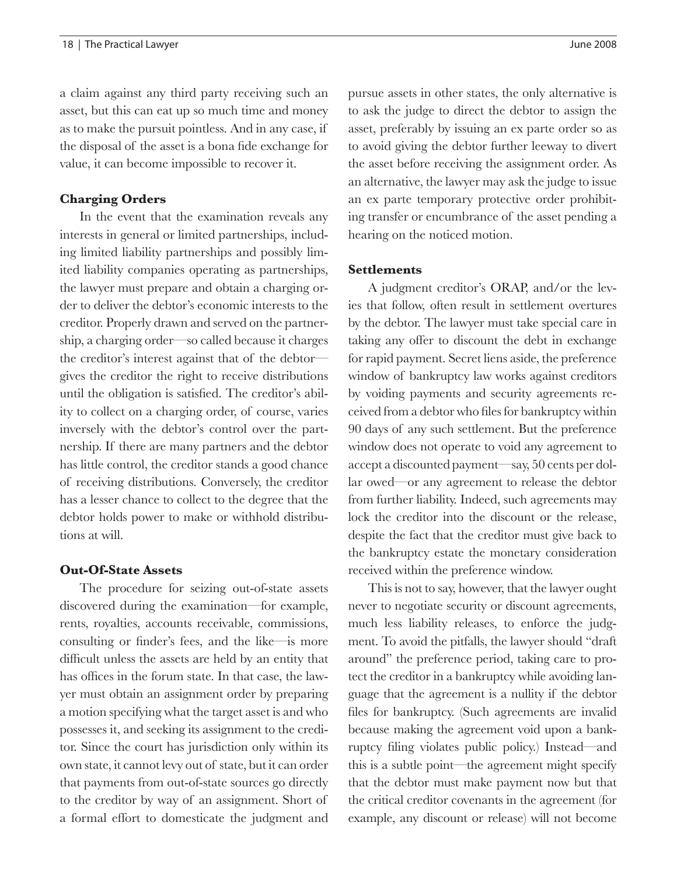a claim against any third party receiving such an asset, but this can eat up so much time and money as to make the pursuit pointless. And in any case, if

the disposal of the asset is a bona fide exchange for value, it can become impossible to recover it.

#### **Charging Orders**

In the event that the examination reveals any interests in general or limited partnerships, including limited liability partnerships and possibly limited liability companies operating as partnerships, the lawyer must prepare and obtain a charging order to deliver the debtor's economic interests to the creditor. Properly drawn and served on the partnership, a charging order—so called because it charges the creditor's interest against that of the debtor gives the creditor the right to receive distributions until the obligation is satisfied. The creditor's ability to collect on a charging order, of course, varies inversely with the debtor's control over the partnership. If there are many partners and the debtor has little control, the creditor stands a good chance of receiving distributions. Conversely, the creditor has a lesser chance to collect to the degree that the debtor holds power to make or withhold distributions at will.

#### **Out-Of-State Assets**

The procedure for seizing out-of-state assets discovered during the examination—for example, rents, royalties, accounts receivable, commissions, consulting or finder's fees, and the like—is more difficult unless the assets are held by an entity that has offices in the forum state. In that case, the lawyer must obtain an assignment order by preparing a motion specifying what the target asset is and who possesses it, and seeking its assignment to the creditor. Since the court has jurisdiction only within its own state, it cannot levy out of state, but it can order that payments from out-of-state sources go directly to the creditor by way of an assignment. Short of a formal effort to domesticate the judgment and pursue assets in other states, the only alternative is to ask the judge to direct the debtor to assign the asset, preferably by issuing an ex parte order so as to avoid giving the debtor further leeway to divert the asset before receiving the assignment order. As an alternative, the lawyer may ask the judge to issue an ex parte temporary protective order prohibiting transfer or encumbrance of the asset pending a hearing on the noticed motion.

#### **Settlements**

A judgment creditor's ORAP, and/or the levies that follow, often result in settlement overtures by the debtor. The lawyer must take special care in taking any offer to discount the debt in exchange for rapid payment. Secret liens aside, the preference window of bankruptcy law works against creditors by voiding payments and security agreements received from a debtor who files for bankruptcy within 90 days of any such settlement. But the preference window does not operate to void any agreement to accept a discounted payment—say, 50 cents per dollar owed—or any agreement to release the debtor from further liability. Indeed, such agreements may lock the creditor into the discount or the release, despite the fact that the creditor must give back to the bankruptcy estate the monetary consideration received within the preference window.

This is not to say, however, that the lawyer ought never to negotiate security or discount agreements, much less liability releases, to enforce the judgment. To avoid the pitfalls, the lawyer should "draft around" the preference period, taking care to protect the creditor in a bankruptcy while avoiding language that the agreement is a nullity if the debtor files for bankruptcy. (Such agreements are invalid because making the agreement void upon a bankruptcy filing violates public policy.) Instead—and this is a subtle point—the agreement might specify that the debtor must make payment now but that the critical creditor covenants in the agreement (for example, any discount or release) will not become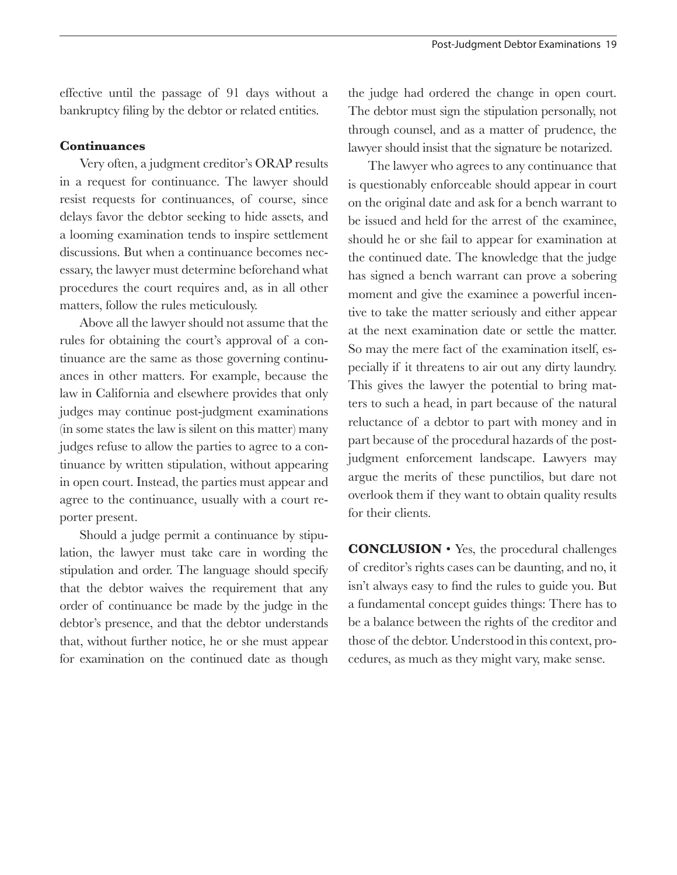effective until the passage of 91 days without a bankruptcy filing by the debtor or related entities.

## **Continuances**

Very often, a judgment creditor's ORAP results in a request for continuance. The lawyer should resist requests for continuances, of course, since delays favor the debtor seeking to hide assets, and a looming examination tends to inspire settlement discussions. But when a continuance becomes necessary, the lawyer must determine beforehand what procedures the court requires and, as in all other matters, follow the rules meticulously.

Above all the lawyer should not assume that the rules for obtaining the court's approval of a continuance are the same as those governing continuances in other matters. For example, because the law in California and elsewhere provides that only judges may continue post-judgment examinations (in some states the law is silent on this matter) many judges refuse to allow the parties to agree to a continuance by written stipulation, without appearing in open court. Instead, the parties must appear and agree to the continuance, usually with a court reporter present.

Should a judge permit a continuance by stipulation, the lawyer must take care in wording the stipulation and order. The language should specify that the debtor waives the requirement that any order of continuance be made by the judge in the debtor's presence, and that the debtor understands that, without further notice, he or she must appear for examination on the continued date as though

the judge had ordered the change in open court. The debtor must sign the stipulation personally, not through counsel, and as a matter of prudence, the lawyer should insist that the signature be notarized.

The lawyer who agrees to any continuance that is questionably enforceable should appear in court on the original date and ask for a bench warrant to be issued and held for the arrest of the examinee, should he or she fail to appear for examination at the continued date. The knowledge that the judge has signed a bench warrant can prove a sobering moment and give the examinee a powerful incentive to take the matter seriously and either appear at the next examination date or settle the matter. So may the mere fact of the examination itself, especially if it threatens to air out any dirty laundry. This gives the lawyer the potential to bring matters to such a head, in part because of the natural reluctance of a debtor to part with money and in part because of the procedural hazards of the postjudgment enforcement landscape. Lawyers may argue the merits of these punctilios, but dare not overlook them if they want to obtain quality results for their clients.

**CONCLUSION** • Yes, the procedural challenges of creditor's rights cases can be daunting, and no, it isn't always easy to find the rules to guide you. But a fundamental concept guides things: There has to be a balance between the rights of the creditor and those of the debtor. Understood in this context, procedures, as much as they might vary, make sense.